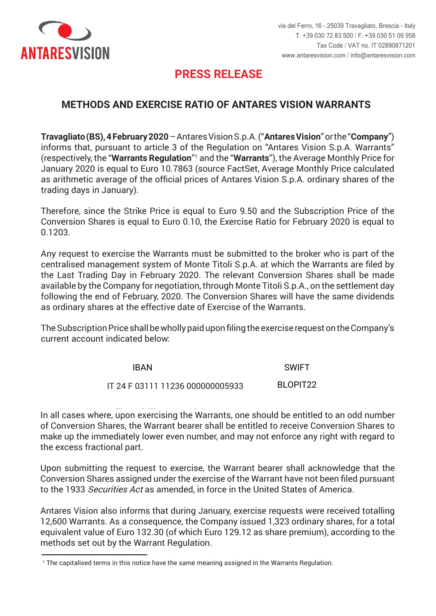

# **PRESS RELEASE PRESS RELEASE**

### **METHODS AND EXERCISE RATIO OF ANTARES VISION WARRANTS**

Travagliato (BS), 4 February 2020 - Antares Vision S.p.A. ("Antares Vision" or the "Company") informs that, pursuant to article 3 of the Regulation on "Antares Vision S.p.A. Warrants" (respectively, the "Warrants Regulation"<sup>1</sup> and the "Warrants"), the Average Monthly Price for January 2020 is equal to Euro 10.7863 (source FactSet, Average Monthly Price calculated as arithmetic average of the official prices of Antares Vision S.p.A. ordinary shares of the trading days in January).

Therefore, since the Strike Price is equal to Euro 9.50 and the Subscription Price of the Conversion Shares is equal to Euro 0.10, the Exercise Ratio for February 2020 is equal to 0,1203. 0.1203.

Any request to exercise the Warrants must be submitted to the broker who is part of the centralised management system of Monte Titoli S.p.A. at which the Warrants are filed by the Last Trading Day in February 2020. The relevant Conversion Shares shall be made available by the Company for negotiation, through Monte Titoli S.p.A., on the settlement day following the end of February, 2020. The Conversion Shares will have the same dividends as ordinary shares at the effective date of Exercise of the Warrants. efficacia dell'esercizio dei Warrant.

Il Prezzo di Sottoscrizione dovrà essere integralmente versato all'atto della presentazione della presentazion<br>Current account indicated below: The Subscription Price shall be wholly paid upon filing the exercise request on the Company's

> IBAN SWIFT IT 24 F 03111 11236 000000005933 BLOPIT22 IT 24 F 03111 11236 000000005933

In all cases where, upon exercising the Warrants, one should be entitled to an odd number of Conversion Shares, the Warrant bearer shall be entitled to receive Conversion Shares to make up the immediately lower even number, and may not enforce any right with regard to  $\overline{\text{the excess fractional part}}$ .

Upon submitting the request to exercise, the Warrant bearer shall acknowledge that the che le Azionia.<br>Conversion Shares assigned under the exercise of the Warrant have not been filed pursuant to the 1933 *Securities Act* as amended, in force in the United States of America.

Antares Vision also informs that during January, exercise requests were received totalling 12,600 Warrants. As a consequence, the Company issued 1,323 ordinary shares, for a total equivalent value of Euro 132.30 (of which Euro 129.12 as share premium), according to the sovrapprezzo azioni), secondo le modalità previste dal Regolamento Warrant. methods set out by the Warrant Regulation.

<sup>&</sup>lt;sup>1</sup> The capitalised terms in this notice have the same meaning assigned in the Warrants Regulation.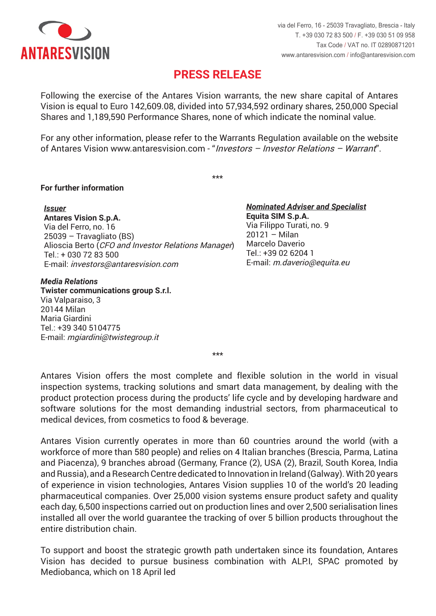

## **PRESS RELEASE PRESS RELEASE**

Following the exercise of the Antares Vision warrants, the new share capital of Antares Vision is equal to Euro 142,609.08, divided into 57,934,592 ordinary shares, 250,000 Special Shares and 1,189,590 Performance Shares, none of which indicate the nominal value.

of Antares Vision www.antaresvision.com - "*Investors – Investor Relations – Warrant*". For any other information, please refer to the Warrants Regulation available on the website

\*\*\* \*\*\*

#### **Per maggiori informazioni For further information**

*Emittente Issuer* **Antares Vision S.p.A. Antares Vision S.p.A.**  Via del Ferro, no. 16 25039 – Travagliato (BS) 25039 – Travagliato (BS) Alioscia Berto (*CFO and Investor Relations Manager*) Tel.: + 030 72 83 500 Tel.: + 030 72 83 500 E-mail: *investors@antaresvision.com* E-mail: investors@antaresvision.com

#### *Media Relations Media Relations*

**Twister communications group S.r.l. Twister communications group S.r.l.**  Via Valparaiso, 3 Via Valparaiso, 3 20144 Milan Maria Giardini Maria Giardini Tel.: +39 340 5104775 Tel.: +39 340 5104775 E-mail: *mgiardini@twistegroup.it* E-mail: mgiardini@twistegroup.it

*Nominated Adviser e Specialista Nominated Adviser and Specialist* **Equita SIM S.p.A. Equita SIM S.p.A.**  Via Filippo Turati, no. 9 20121 – Milan en Marcelo Daverio  $\overline{C}$  Tel.: +39 02 6204 1 E-mail: *m.daverio@equita.eu* E-mail: m.daverio@equita.eu

\*\*\* \*\*\*

Antares Vision offers the most complete and flexible solution in the world in visual inspection systems, tracking solutions and smart data management, by dealing with the product protection process during the products' life cycle and by developing hardware and software solutions for the most demanding industrial sectors, from pharmaceutical to medical devices, from cosmetics to food & beverage.

.<br>Antares Vision currently operates in more than 60 countries around the world (with a 580 unità) e può contare su 4 filiali italiane (Brescia, Parma, Latina e Piacenza), 9 filiali estere workforce of more than 580 people) and relies on 4 Italian branches (Brescia, Parma, Latina mania, Francia Corea del Sud, India, Corea del Sud, India, Russia, Corea del Sud, India, 2000.<br>And Piacenza), 9 branches abroad (Germany, France (2), USA (2), Brazil, South Korea, India and Russia), and a Research Centre dedicated to Innovation in Ireland (Galway). With 20 years of experience in vision technologies, Antares Vision supplies 10 of the world's 20 leading pharmaceutical companies. Over 25,000 vision systems ensure product safety and quality .<br>each day, 6,500 inspections carried out on production lines and over 2,500 serialisation lines installed all over the world guarantee the tracking of over 5 billion products throughout the entire distribution chain. The state of the state of prodotting  $\mathbf{r}_{\text{max}}$ 

Per sostenere e accelerare il percorso strategico di crescita intrapreso dal momento della sua fondazione and buobe and barategic growth path directionen bince its foundation, Antaret Vision has decided to pursue business combination with ALP.I, SPAC promoted by<br>Mediobance which an 18 April lod To support and boost the strategic growth path undertaken since its foundation, Antares Mediobanca, which on 18 April led